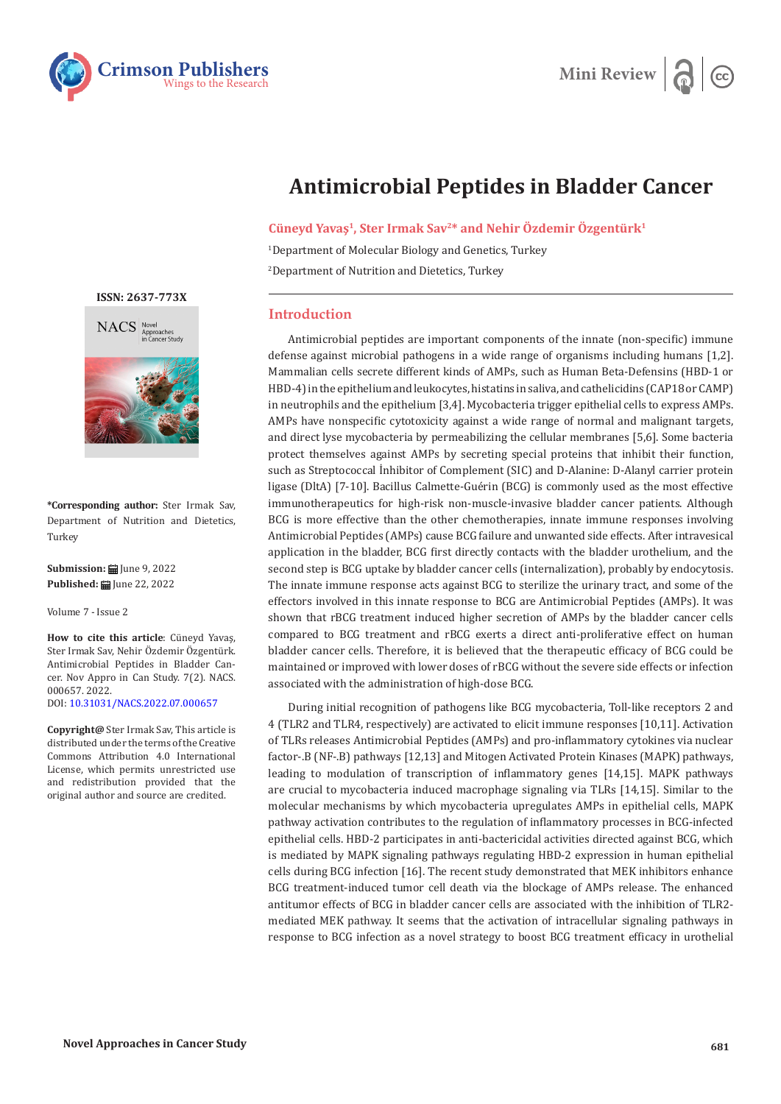



## **Antimicrobial Peptides in Bladder Cancer**

**Cüneyd Yavaş1, Ster Irmak Sav2\* and Nehir Özdemir Özgentürk1**

1 Department of Molecular Biology and Genetics, Turkey 2 Department of Nutrition and Dietetics, Turkey

## **Introduction**

Antimicrobial peptides are important components of the innate (non-specific) immune defense against microbial pathogens in a wide range of organisms including humans [1,2]. Mammalian cells secrete different kinds of AMPs, such as Human Beta-Defensins (HBD-1 or HBD-4) in the epithelium and leukocytes, histatins in saliva, and cathelicidins (CAP18 or CAMP) in neutrophils and the epithelium [3,4]. Mycobacteria trigger epithelial cells to express AMPs. AMPs have nonspecific cytotoxicity against a wide range of normal and malignant targets, and direct lyse mycobacteria by permeabilizing the cellular membranes [5,6]. Some bacteria protect themselves against AMPs by secreting special proteins that inhibit their function, such as Streptococcal İnhibitor of Complement (SIC) and D-Alanine: D-Alanyl carrier protein ligase (DltA) [7-10]. Bacillus Calmette-Guérin (BCG) is commonly used as the most effective immunotherapeutics for high-risk non-muscle-invasive bladder cancer patients. Although BCG is more effective than the other chemotherapies, innate immune responses involving Antimicrobial Peptides (AMPs) cause BCG failure and unwanted side effects. After intravesical application in the bladder, BCG first directly contacts with the bladder urothelium, and the second step is BCG uptake by bladder cancer cells (internalization), probably by endocytosis. The innate immune response acts against BCG to sterilize the urinary tract, and some of the effectors involved in this innate response to BCG are Antimicrobial Peptides (AMPs). It was shown that rBCG treatment induced higher secretion of AMPs by the bladder cancer cells compared to BCG treatment and rBCG exerts a direct anti-proliferative effect on human bladder cancer cells. Therefore, it is believed that the therapeutic efficacy of BCG could be maintained or improved with lower doses of rBCG without the severe side effects or infection associated with the administration of high-dose BCG.

During initial recognition of pathogens like BCG mycobacteria, Toll-like receptors 2 and 4 (TLR2 and TLR4, respectively) are activated to elicit immune responses [10,11]. Activation of TLRs releases Antimicrobial Peptides (AMPs) and pro-inflammatory cytokines via nuclear factor-.B (NF-.B) pathways [12,13] and Mitogen Activated Protein Kinases (MAPK) pathways, leading to modulation of transcription of inflammatory genes [14,15]. MAPK pathways are crucial to mycobacteria induced macrophage signaling via TLRs [14,15]. Similar to the molecular mechanisms by which mycobacteria upregulates AMPs in epithelial cells, MAPK pathway activation contributes to the regulation of inflammatory processes in BCG-infected epithelial cells. HBD-2 participates in anti-bactericidal activities directed against BCG, which is mediated by MAPK signaling pathways regulating HBD-2 expression in human epithelial cells during BCG infection [16]. The recent study demonstrated that MEK inhibitors enhance BCG treatment-induced tumor cell death via the blockage of AMPs release. The enhanced antitumor effects of BCG in bladder cancer cells are associated with the inhibition of TLR2 mediated MEK pathway. It seems that the activation of intracellular signaling pathways in response to BCG infection as a novel strategy to boost BCG treatment efficacy in urothelial

**[ISSN: 2637-773X](https://crimsonpublishers.com/nacs/)**



**\*Corresponding author:** Ster Irmak Sav, Department of Nutrition and Dietetics, Turkey

**Submission: iii** June 9, 2022 Published: **■** June 22, 2022

Volume 7 - Issue 2

**How to cite this article**: Cüneyd Yavaş, Ster Irmak Sav, Nehir Özdemir Özgentürk. Antimicrobial Peptides in Bladder Cancer. Nov Appro in Can Study. 7(2). NACS. 000657. 2022. DOI: [10.31031/NACS.2022.07.000657](http://dx.doi.org/10.31031/NACS.2022.07.000657)

**Copyright@** Ster Irmak Sav, This article is distributed under the terms of the Creative Commons Attribution 4.0 International License, which permits unrestricted use and redistribution provided that the original author and source are credited.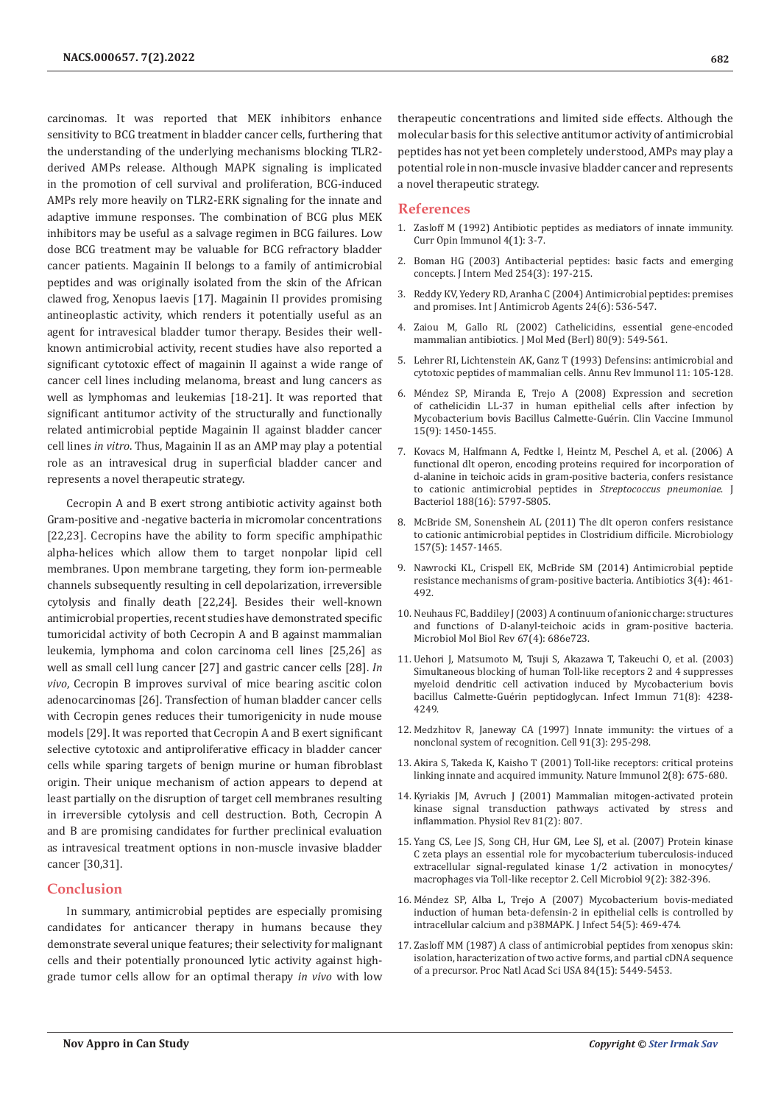carcinomas. It was reported that MEK inhibitors enhance sensitivity to BCG treatment in bladder cancer cells, furthering that the understanding of the underlying mechanisms blocking TLR2 derived AMPs release. Although MAPK signaling is implicated in the promotion of cell survival and proliferation, BCG-induced AMPs rely more heavily on TLR2-ERK signaling for the innate and adaptive immune responses. The combination of BCG plus MEK inhibitors may be useful as a salvage regimen in BCG failures. Low dose BCG treatment may be valuable for BCG refractory bladder cancer patients. Magainin II belongs to a family of antimicrobial peptides and was originally isolated from the skin of the African clawed frog, Xenopus laevis [17]. Magainin II provides promising antineoplastic activity, which renders it potentially useful as an agent for intravesical bladder tumor therapy. Besides their wellknown antimicrobial activity, recent studies have also reported a significant cytotoxic effect of magainin II against a wide range of cancer cell lines including melanoma, breast and lung cancers as well as lymphomas and leukemias [18-21]. It was reported that significant antitumor activity of the structurally and functionally related antimicrobial peptide Magainin II against bladder cancer cell lines *in vitro*. Thus, Magainin II as an AMP may play a potential role as an intravesical drug in superficial bladder cancer and represents a novel therapeutic strategy.

Cecropin A and B exert strong antibiotic activity against both Gram-positive and -negative bacteria in micromolar concentrations [22,23]. Cecropins have the ability to form specific amphipathic alpha-helices which allow them to target nonpolar lipid cell membranes. Upon membrane targeting, they form ion-permeable channels subsequently resulting in cell depolarization, irreversible cytolysis and finally death [22,24]. Besides their well-known antimicrobial properties, recent studies have demonstrated specific tumoricidal activity of both Cecropin A and B against mammalian leukemia, lymphoma and colon carcinoma cell lines [25,26] as well as small cell lung cancer [27] and gastric cancer cells [28]. *In vivo*, Cecropin B improves survival of mice bearing ascitic colon adenocarcinomas [26]. Transfection of human bladder cancer cells with Cecropin genes reduces their tumorigenicity in nude mouse models [29]. It was reported that Cecropin A and B exert significant selective cytotoxic and antiproliferative efficacy in bladder cancer cells while sparing targets of benign murine or human fibroblast origin. Their unique mechanism of action appears to depend at least partially on the disruption of target cell membranes resulting in irreversible cytolysis and cell destruction. Both, Cecropin A and B are promising candidates for further preclinical evaluation as intravesical treatment options in non-muscle invasive bladder cancer [30,31].

## **Conclusion**

In summary, antimicrobial peptides are especially promising candidates for anticancer therapy in humans because they demonstrate several unique features; their selectivity for malignant cells and their potentially pronounced lytic activity against highgrade tumor cells allow for an optimal therapy *in vivo* with low

therapeutic concentrations and limited side effects. Although the molecular basis for this selective antitumor activity of antimicrobial peptides has not yet been completely understood, AMPs may play a potential role in non-muscle invasive bladder cancer and represents a novel therapeutic strategy.

## **References**

- 1. [Zasloff M \(1992\) Antibiotic peptides as mediators of innate immunity.](https://pubmed.ncbi.nlm.nih.gov/1596366/) [Curr Opin Immunol 4\(1\): 3-7.](https://pubmed.ncbi.nlm.nih.gov/1596366/)
- 2. [Boman HG \(2003\) Antibacterial peptides: basic facts and emerging](https://pubmed.ncbi.nlm.nih.gov/12930229/) [concepts. J Intern Med 254\(3\): 197-215.](https://pubmed.ncbi.nlm.nih.gov/12930229/)
- 3. [Reddy KV, Yedery RD, Aranha C \(2004\) Antimicrobial peptides: premises](https://pubmed.ncbi.nlm.nih.gov/15555874/) [and promises. Int J Antimicrob Agents 24\(6\): 536-547.](https://pubmed.ncbi.nlm.nih.gov/15555874/)
- 4. [Zaiou M, Gallo RL \(2002\) Cathelicidins, essential gene-encoded](https://pubmed.ncbi.nlm.nih.gov/12226737/) [mammalian antibiotics. J Mol Med \(Berl\) 80\(9\): 549-561.](https://pubmed.ncbi.nlm.nih.gov/12226737/)
- 5. [Lehrer RI, Lichtenstein AK, Ganz T \(1993\) Defensins: antimicrobial and](https://pubmed.ncbi.nlm.nih.gov/8476558/) [cytotoxic peptides of mammalian cells. Annu Rev Immunol 11: 105-128.](https://pubmed.ncbi.nlm.nih.gov/8476558/)
- 6. Méndez SP, Miranda E, Trejo A (2008) Expression and secretion of cathelicidin LL-37 in human epithelial cells after infection by Mycobacterium bovis Bacillus Calmette-Guérin. Clin Vaccine Immunol 15(9): 1450-1455.
- 7. [Kovacs M, Halfmann A, Fedtke I, Heintz M, Peschel A, et al. \(2006\) A](https://pubmed.ncbi.nlm.nih.gov/16885447/) [functional dlt operon, encoding proteins required for incorporation of](https://pubmed.ncbi.nlm.nih.gov/16885447/) [d-alanine in teichoic acids in gram-positive bacteria, confers resistance](https://pubmed.ncbi.nlm.nih.gov/16885447/) [to cationic antimicrobial peptides in](https://pubmed.ncbi.nlm.nih.gov/16885447/) *Streptococcus pneumoniae*. J [Bacteriol 188\(16\): 5797-5805.](https://pubmed.ncbi.nlm.nih.gov/16885447/)
- 8. [McBride SM, Sonenshein AL \(2011\) The dlt operon confers resistance](https://pubmed.ncbi.nlm.nih.gov/21330441/) [to cationic antimicrobial peptides in Clostridium difficile. Microbiology](https://pubmed.ncbi.nlm.nih.gov/21330441/) [157\(5\): 1457-1465.](https://pubmed.ncbi.nlm.nih.gov/21330441/)
- 9. [Nawrocki KL, Crispell EK, McBride SM \(2014\) Antimicrobial peptide](https://pubmed.ncbi.nlm.nih.gov/25419466/) [resistance mechanisms of gram-positive bacteria. Antibiotics 3\(4\): 461-](https://pubmed.ncbi.nlm.nih.gov/25419466/) [492.](https://pubmed.ncbi.nlm.nih.gov/25419466/)
- 10. [Neuhaus FC, Baddiley J \(2003\) A continuum of anionic charge: structures](https://pubmed.ncbi.nlm.nih.gov/14665680/) [and functions of D-alanyl-teichoic acids in gram-positive bacteria.](https://pubmed.ncbi.nlm.nih.gov/14665680/) [Microbiol Mol Biol Rev 67\(4\): 686e723.](https://pubmed.ncbi.nlm.nih.gov/14665680/)
- 11. [Uehori J, Matsumoto M, Tsuji S, Akazawa T, Takeuchi O, et al. \(2003\)](https://pubmed.ncbi.nlm.nih.gov/12874299/) [Simultaneous blocking of human Toll-like receptors 2 and 4 suppresses](https://pubmed.ncbi.nlm.nih.gov/12874299/) [myeloid dendritic cell activation induced by Mycobacterium bovis](https://pubmed.ncbi.nlm.nih.gov/12874299/) [bacillus Calmette-Guérin peptidoglycan. Infect Immun 71\(8\): 4238-](https://pubmed.ncbi.nlm.nih.gov/12874299/) [4249.](https://pubmed.ncbi.nlm.nih.gov/12874299/)
- 12. [Medzhitov R, Janeway CA \(1997\) Innate immunity: the virtues of a](https://pubmed.ncbi.nlm.nih.gov/9363937/) [nonclonal system of recognition. Cell 91\(3\): 295-298.](https://pubmed.ncbi.nlm.nih.gov/9363937/)
- 13. [Akira S, Takeda K, Kaisho T \(2001\) Toll-like receptors: critical proteins](https://pubmed.ncbi.nlm.nih.gov/11477402/) [linking innate and acquired immunity. Nature Immunol 2\(8\): 675-680.](https://pubmed.ncbi.nlm.nih.gov/11477402/)
- 14. [Kyriakis JM, Avruch J \(2001\) Mammalian mitogen-activated protein](https://pubmed.ncbi.nlm.nih.gov/11274345/) [kinase signal transduction pathways activated by stress and](https://pubmed.ncbi.nlm.nih.gov/11274345/) [inflammation. Physiol Rev 81\(2\): 807.](https://pubmed.ncbi.nlm.nih.gov/11274345/)
- 15. [Yang CS, Lee JS, Song CH, Hur GM, Lee SJ, et al. \(2007\) Protein kinase](https://pubmed.ncbi.nlm.nih.gov/16925784/) [C zeta plays an essential role for mycobacterium tuberculosis-induced](https://pubmed.ncbi.nlm.nih.gov/16925784/) [extracellular signal-regulated kinase 1/2 activation in monocytes/](https://pubmed.ncbi.nlm.nih.gov/16925784/) [macrophages via Toll-like receptor 2. Cell Microbiol 9\(2\): 382-396.](https://pubmed.ncbi.nlm.nih.gov/16925784/)
- 16. [Méndez SP, Alba L, Trejo A \(2007\) Mycobacterium bovis-mediated](https://www.sciencedirect.com/science/article/abs/pii/S0163445306002623) [induction of human beta-defensin-2 in epithelial cells is controlled by](https://www.sciencedirect.com/science/article/abs/pii/S0163445306002623) [intracellular calcium and p38MAPK. J Infect 54\(5\): 469-474.](https://www.sciencedirect.com/science/article/abs/pii/S0163445306002623)
- 17. [Zasloff MM \(1987\) A class of antimicrobial peptides from xenopus skin:](https://pubmed.ncbi.nlm.nih.gov/3299384/) [isolation, haracterization of two active forms, and partial cDNA sequence](https://pubmed.ncbi.nlm.nih.gov/3299384/) [of a precursor. Proc Natl Acad Sci USA 84\(15\): 5449-5453.](https://pubmed.ncbi.nlm.nih.gov/3299384/)